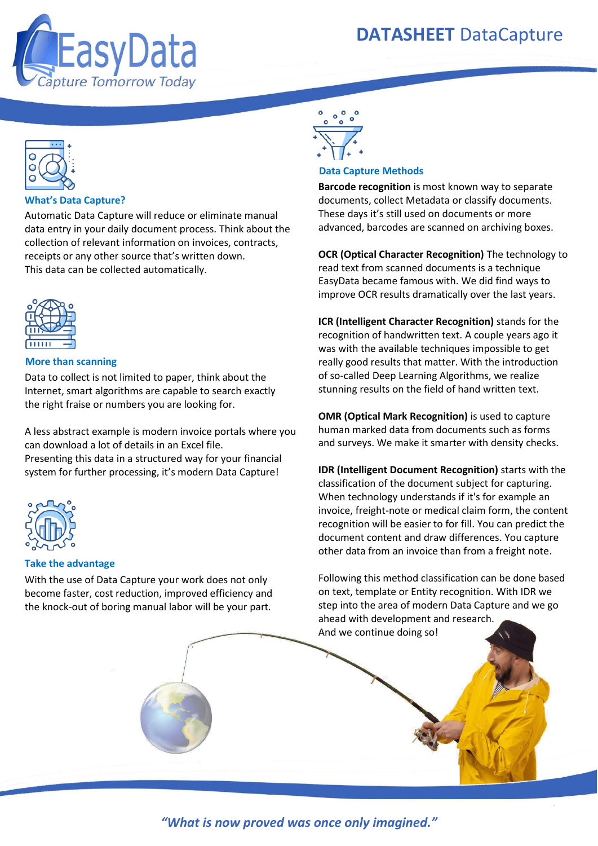

# **DATASHEET** DataCapture



# **What's Data Capture?**

Automatic Data Capture will reduce or eliminate manual data entry in your daily document process. Think about the collection of relevant information on invoices, contracts, receipts or any other source that's written down. This data can be collected automatically.



## **More than scanning**

Data to collect is not limited to paper, think about the Internet, smart algorithms are capable to search exactly the right fraise or numbers you are looking for.

A less abstract example is modern invoice portals where you can download a lot of details in an Excel file. Presenting this data in a structured way for your financial system for further processing, it's modern Data Capture!



# **Take the advantage**

With the use of Data Capture your work does not only become faster, cost reduction, improved efficiency and the knock-out of boring manual labor will be your part.



#### **Data Capture Methods**

**Barcode recognition** is most known way to separate documents, collect Metadata or classify documents. These days it's still used on documents or more advanced, barcodes are scanned on archiving boxes.

**OCR (Optical Character Recognition)** The technology to read text from scanned documents is a technique EasyData became famous with. We did find ways to improve OCR results dramatically over the last years.

**ICR (Intelligent Character Recognition)** stands for the recognition of handwritten text. A couple years ago it was with the available techniques impossible to get really good results that matter. With the introduction of so-called Deep Learning Algorithms, we realize stunning results on the field of hand written text.

**OMR (Optical Mark Recognition)** is used to capture human marked data from documents such as forms and surveys. We make it smarter with density checks.

**IDR (Intelligent Document Recognition)** starts with the classification of the document subject for capturing. When technology understands if it's for example an invoice, freight-note or medical claim form, the content recognition will be easier to for fill. You can predict the document content and draw differences. You capture other data from an invoice than from a freight note.

Following this method classification can be done based on text, template or Entity recognition. With IDR we step into the area of modern Data Capture and we go ahead with development and research. And we continue doing so!

Phone: +31 (0)55-5344886 Welcome@easydata.nl Phone: +7-383-202-1127 Welcome@easydata-russia.ru *"What is now proved was once only imagined."* EasyData LLC, Novosibirsk, Koshurnikova st. 22/1, 17